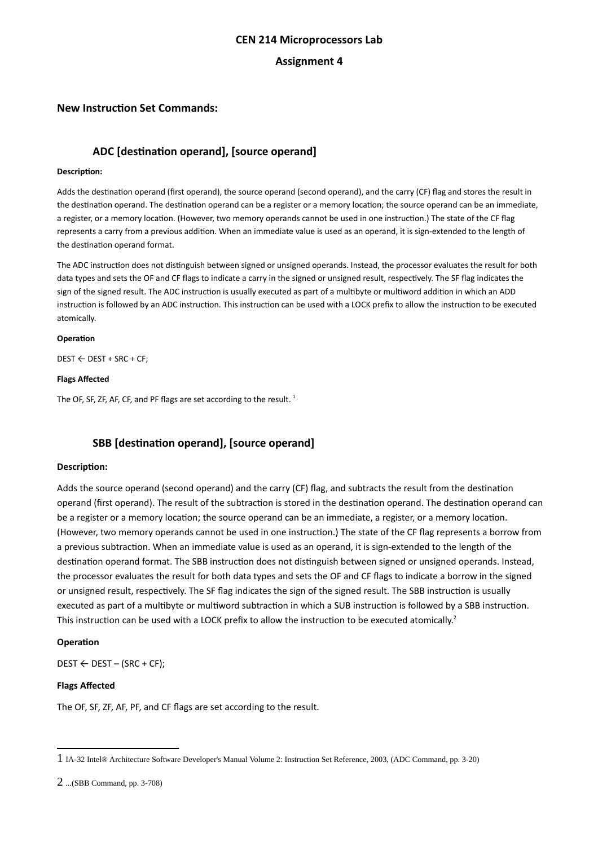## **CEN 214 Microprocessors Lab**

## **Assignment 4**

## **New Instruction Set Commands:**

# **ADC [destination operand], [source operand]**

#### **Description:**

Adds the destination operand (first operand), the source operand (second operand), and the carry (CF) flag and stores the result in the destination operand. The destination operand can be a register or a memory location; the source operand can be an immediate, a register, or a memory location. (However, two memory operands cannot be used in one instruction.) The state of the CF flag represents a carry from a previous addition. When an immediate value is used as an operand, it is sign-extended to the length of the destination operand format.

The ADC instruction does not distinguish between signed or unsigned operands. Instead, the processor evaluates the result for both data types and sets the OF and CF flags to indicate a carry in the signed or unsigned result, respectively. The SF flag indicates the sign of the signed result. The ADC instruction is usually executed as part of a multibyte or multiword addition in which an ADD instruction is followed by an ADC instruction. This instruction can be used with a LOCK prefix to allow the instruction to be executed atomically.

#### **Operation**

DEST ← DEST + SRC + CF;

#### **Flags Affected**

The OF, SF, ZF, AF, CF, and PF flags are set according to the result.  $1$ 

# **SBB [destination operand], [source operand]**

### **Description:**

Adds the source operand (second operand) and the carry (CF) flag, and subtracts the result from the destination operand (first operand). The result of the subtraction is stored in the destination operand. The destination operand can be a register or a memory location; the source operand can be an immediate, a register, or a memory location. (However, two memory operands cannot be used in one instruction.) The state of the CF flag represents a borrow from a previous subtraction. When an immediate value is used as an operand, it is sign-extended to the length of the destination operand format. The SBB instruction does not distinguish between signed or unsigned operands. Instead, the processor evaluates the result for both data types and sets the OF and CF flags to indicate a borrow in the signed or unsigned result, respectively. The SF flag indicates the sign of the signed result. The SBB instruction is usually executed as part of a multibyte or multiword subtraction in which a SUB instruction is followed by a SBB instruction. This instruction can be used with a LOCK prefix to allow the instruction to be executed atomically.<sup>[2](#page-0-1)</sup>

### **Operation**

 $\text{DEST} \leftarrow \text{DEST} - (\text{SRC} + \text{CF})$ ;

### **Flags Affected**

The OF, SF, ZF, AF, PF, and CF flags are set according to the result.

<span id="page-0-0"></span><sup>1</sup> IA-32 Intel® Architecture Software Developer's Manual Volume 2: Instruction Set Reference, 2003, (ADC Command, pp. 3-20)

<span id="page-0-1"></span><sup>2</sup> ...(SBB Command, pp. 3-708)